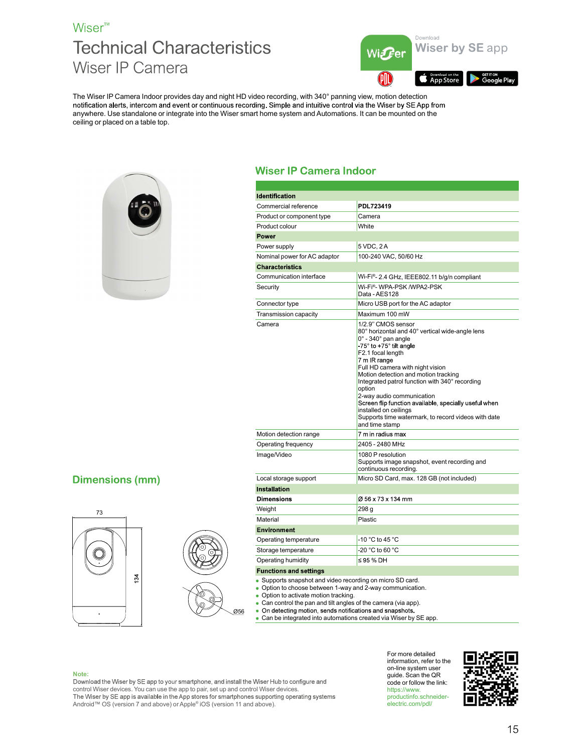## Wiser<sup>™</sup> Wiser IP Camera



The Wiser IP Camera Indoor provides day and night HD video recording, with 340° panning view, motion detection anywhere. Use standalone or integrate into the Wiser smart home system and Automations. It can be mounted on the ceiling or placed on a table top.



|                                                                                                                                                                                                  | Download<br><b>Wiser by SE app</b><br>Wi $\bm{F}$ er                                                                                                                                                                                                                                                                                                                                                                                                                                                                      |
|--------------------------------------------------------------------------------------------------------------------------------------------------------------------------------------------------|---------------------------------------------------------------------------------------------------------------------------------------------------------------------------------------------------------------------------------------------------------------------------------------------------------------------------------------------------------------------------------------------------------------------------------------------------------------------------------------------------------------------------|
|                                                                                                                                                                                                  | Download on the<br><b>GETIT ON</b><br>Google Play<br>App Store                                                                                                                                                                                                                                                                                                                                                                                                                                                            |
| deo recording, with 340° panning view, motion detection<br>rt home system and Automations. It can be mounted on the                                                                              | ling. Simple and intuitive control via the Wiser by SE App from                                                                                                                                                                                                                                                                                                                                                                                                                                                           |
| <b>Wiser IP Camera Indoor</b>                                                                                                                                                                    |                                                                                                                                                                                                                                                                                                                                                                                                                                                                                                                           |
|                                                                                                                                                                                                  |                                                                                                                                                                                                                                                                                                                                                                                                                                                                                                                           |
| <b>Identification</b>                                                                                                                                                                            |                                                                                                                                                                                                                                                                                                                                                                                                                                                                                                                           |
| Commercial reference                                                                                                                                                                             | PDL723419                                                                                                                                                                                                                                                                                                                                                                                                                                                                                                                 |
| Product or component type                                                                                                                                                                        | Camera                                                                                                                                                                                                                                                                                                                                                                                                                                                                                                                    |
| Product colour                                                                                                                                                                                   | White                                                                                                                                                                                                                                                                                                                                                                                                                                                                                                                     |
| Power                                                                                                                                                                                            |                                                                                                                                                                                                                                                                                                                                                                                                                                                                                                                           |
| Power supply                                                                                                                                                                                     | 5 VDC, 2 A                                                                                                                                                                                                                                                                                                                                                                                                                                                                                                                |
| Nominal power for AC adaptor                                                                                                                                                                     | 100-240 VAC, 50/60 Hz                                                                                                                                                                                                                                                                                                                                                                                                                                                                                                     |
| <b>Characteristics</b>                                                                                                                                                                           |                                                                                                                                                                                                                                                                                                                                                                                                                                                                                                                           |
| Communication interface                                                                                                                                                                          | Wi-Fi®- 2.4 GHz, IEEE802.11 b/g/n compliant                                                                                                                                                                                                                                                                                                                                                                                                                                                                               |
| Security                                                                                                                                                                                         | Wi-Fi®- WPA-PSK /WPA2-PSK<br>Data - AES128                                                                                                                                                                                                                                                                                                                                                                                                                                                                                |
| Connector type                                                                                                                                                                                   | Micro USB port for the AC adaptor                                                                                                                                                                                                                                                                                                                                                                                                                                                                                         |
| Transmission capacity                                                                                                                                                                            | Maximum 100 mW                                                                                                                                                                                                                                                                                                                                                                                                                                                                                                            |
| Camera                                                                                                                                                                                           | 1/2.9" CMOS sensor<br>80° horizontal and 40° vertical wide-angle lens<br>$0^\circ$ - 340 $^\circ$ pan angle<br>$-75^\circ$ to $+75^\circ$ tilt angle<br>F2.1 focal length<br>7 m IR range<br>Full HD camera with night vision<br>Motion detection and motion tracking<br>Integrated patrol function with 340° recording<br>option<br>2-way audio communication<br>Screen flip function available, specially useful when<br>installed on ceilings<br>Supports time watermark, to record videos with date<br>and time stamp |
| Motion detection range                                                                                                                                                                           | 7 m in radius max                                                                                                                                                                                                                                                                                                                                                                                                                                                                                                         |
| Operating frequency<br>Image/Video                                                                                                                                                               | 2405 - 2480 MHz<br>1080 P resolution<br>Supports image snapshot, event recording and<br>continuous recording.                                                                                                                                                                                                                                                                                                                                                                                                             |
| Local storage support                                                                                                                                                                            | Micro SD Card, max. 128 GB (not included)                                                                                                                                                                                                                                                                                                                                                                                                                                                                                 |
| <b>Installation</b>                                                                                                                                                                              |                                                                                                                                                                                                                                                                                                                                                                                                                                                                                                                           |
| <b>Dimensions</b>                                                                                                                                                                                | Ø 56 x 73 x 134 mm                                                                                                                                                                                                                                                                                                                                                                                                                                                                                                        |
| Weight                                                                                                                                                                                           | 298 g                                                                                                                                                                                                                                                                                                                                                                                                                                                                                                                     |
| Material                                                                                                                                                                                         | Plastic                                                                                                                                                                                                                                                                                                                                                                                                                                                                                                                   |
| <b>Environment</b>                                                                                                                                                                               |                                                                                                                                                                                                                                                                                                                                                                                                                                                                                                                           |
| Operating temperature                                                                                                                                                                            | -10 °C to 45 °C                                                                                                                                                                                                                                                                                                                                                                                                                                                                                                           |
| Storage temperature                                                                                                                                                                              | -20 °C to 60 °C                                                                                                                                                                                                                                                                                                                                                                                                                                                                                                           |
|                                                                                                                                                                                                  | ≤95 % DH                                                                                                                                                                                                                                                                                                                                                                                                                                                                                                                  |
| Operating humidity                                                                                                                                                                               |                                                                                                                                                                                                                                                                                                                                                                                                                                                                                                                           |
| <b>Functions and settings</b><br>• Supports snapshot and video recording on micro SD card.<br>• Option to choose between 1-way and 2-way communication.<br>• Option to activate motion tracking. | • Can control the pan and tilt angles of the camera (via app).                                                                                                                                                                                                                                                                                                                                                                                                                                                            |

**Dimensions (mm)** 





- Supports snapshot and video recording on micro SD card. Option to choose between 1-way and 2-way communication.
- 

- 
- Can control the pan and tilt angles of the camera (via app).<br>• On detecting motion, sends notifications and snapshots.
- Can be integrated into automations created via Wiser by SE app.

Note:<br>Download the Wiser by SE app to your smartphone, and install the Wiser Hub to configure and control Wiser devices. You can use the app to pair, set up and control Wiser devices. Android™ OS (version 7 and above) or Apple® iOS (version 11 and above).

For more detailed information, refer to the on-line system user guide. Scan the QR code or follow the link: https://www.<br>productinfo.schneider-<br>**Productinfo.schneider-Production** electric.com/pdl/